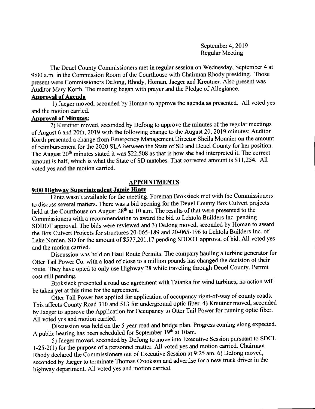September 4, 2019 Regular Meeting

The Deuel County Commissioners met in regular session on Wednesday, September 4 at 9:00 a.m. in the Commission Room of the Courthouse with Chairman Rhody presiding. Those present were Commissioners DeJong, Rhody, Homan, Jaeger and Kreutner. Also present was Auditor Mary Korth. The meeting began with prayer and the Pledge of Allegiance.

# **Approval of Agenda**

l) Jaeger moved, seconded by Homan to approve the agenda as presented. All voted yes and the motion carried.

### Aooroval of Minutes:

 $\overline{2}$ ) Kreutner moved, seconded by DeJong to approve the minutes of the regular meetings of August 6 and 20th, 2019 with the following change to the August 20, 2019 minutes: Auditor Korth presented a change from Emergency Management Director Sheila Monnier on the amount of reimbursement for the 2020 SLA between the State of SD and Deuel County for her position. The August  $20<sup>th</sup>$  minutes stated it was \$22,508 as that is how she had interpreted it. The correct amount is half, which is what the State of SD matches. That corrected amount is \$11,254. All voted yes and the motion carried.

### APPOINTMENTS

# 9:00 Hiehwav Superintendent Jamie Hintz

Hintz wasn't available for the meeting. Foreman Broksieck met with the Commissioners to discuss several matters. There was a bid opening for the Deuel County Box Culvert projects held at the Courthouse on August  $28<sup>th</sup>$  at 10 a.m. The results of that were presented to the commissioners with a recommendation to award the bid to Lehtola Builders Inc. pending SDDOT approval. The bids were reviewed and 3) DeJong moved, seconded by Homan to award the Box Cuivert Projects for structures 20-065-189 and 20-065-196 to Lehtola Builders Inc. of Lake Norden, SD for the amount of \$577,201.17 pending SDDOT approval of bid. All voted yes and the motion carried.

Discussion was held on Haul Route Permits. The company hauling a turbine generator for Otter Tail Power Co. with a load of close to a million pounds has changed the decision of their route. They have opted to only use Highway 28 while traveling through Deuel county. Permit cost still pending.

Bioksieck presented a road use agreement with Tatanka for wind turbines, no action will be taken yet at this time for the agreement.

Otter Tail Power has applied for application of occupancy right-of-way of county roads. This affects County Road 310 and 513 for underground optic fiber. 4) Kreutner moved, seconded by Jaeger to approve the Application for Occupancy to Otter Tail Power for running optic fiber. All voted yes and motion carried.

Discussion was held on the 5 year road and bridge plan. Progress coming along expected. A public hearing has been scheduled for September  $19<sup>th</sup>$  at 10am.

5) Jaeger moved, seconded by DeJong to move into Executive Session pursuant to SDCL 1-25-2(1) for the purpose of a personnel matter. All voted yes and motion carried. Chairman Rhody declared the Commissioners out of Executive Session at 9:25 am. 6) DeJong moved, seconded by Jaeger to terminate Thomas Crookson and advertise for a new truck driver in the highway department. All voted yes and motion carried.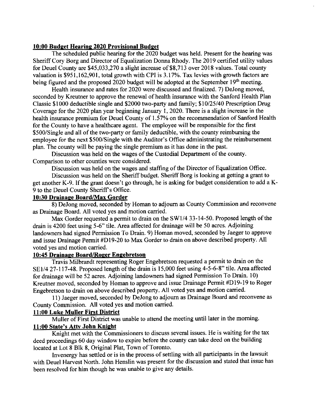# 10:00 Budget Hearing 2020 Provisional Budget

The scheduled public hearing for the 2020 budget was held. Present for the hearing was Sheriff Cory Borg and Director of Equalization Donna Rhody. The 2019 certified utility values for Deuel County are \$45,033,270 a slight increase of \$8,713 over 2018 values. Total county valuation is  $$951,162,901$ , total growth with CPI is 3.17%. Tax levies with growth factors are being figured and the proposed 2020 budget will be adopted at the September 19<sup>th</sup> meeting.

Health insurance and rates for 2020 were discussed and finalized. 7) DeJong moved, seconded by Kreutner to approve the renewal of health insurance with the Sanford Health Plan Classic \$1000 deductible single and \$2000 two-party and family; \$10/25/40 Prescription Drug Coverage for the 2020 plan year beginning January l, 2020. There is a slight increase in the health insurance premium for Deuel County of 1.57% on the recommendation of Sanford Health for the County to have a healthcare agent. The employee will be responsible for the frrst \$500/Single and all of the two-party or family deductible, with the county reimbursing the employee for the next \$50O/Single with the Auditor's Office administrating the reimbursement plan. The county will be paying the single premium as it has done in the past.

Discussion was held on the wages of the Custodial Department of the county. Comparison to other counties were considered.

Discussion was held on the wages and staffing of the Director of Equalization Office.

Discussion was held on the Sheriff budget. Sheriff Borg is looking at getting a grant to get another K-9. If the grant doesn't go through, he is asking for budget consideration to add a K-9 to the Deuel County Sheriff s Office.

# 10:30 Drainage Board/Max Gorder

8) DeJong moved, seconded by Homan to adjoum as County Commission and reconvene as Drainage Board. All voted yes and motion carried.

Max Gorder requested a permit to drain on the SWl/4 33-14-50. Proposed length of the drain is 4200 feet using 5-6" tile. Area affected for drainage will be 50 acres. Adjoining landowners had signed Permission To Drain. 9) Homan moved, seconded by Jaeger to approve and issue Drainage Permit #Dl9-20 to Max Gorder to drain on above described property. All voted yes and motion carried.

# 10:45 Drainage Board/Roger Engebretson

Travis Milbrandt representing Roger Engebretson requested a permit to drain on the SE I/4 27 -117-48. Proposed length of the drain is 15,000 feet using 4-5-6-8" tile. Area affected for drainage will be 52 acres. Adjoining landowners had signed Permission To Drain. l0) Kreutner moved, seconded by Homan to approve and issue Drainage Permit #D19-19 to Roger Engebretson to drain on above described property. All voted yes and motion carried.

11) Jaeger moved, seconded by DeJong to adjoum as Drainage Board and reconvene as County Commission. All voted yes and motion carried.

# 11:00 Luke Muller First District

Muller of First District was unable to attend the meeting until later in the moming.

# 11:00 State's Atty John Knight

Knight met with the Commissioners to discuss several issues. He is waiting for the tax deed proceedings 60 day window to expire before the county can take deed on the building located at Lot 8 Blk 8, Original Plat, Town of Toronto.

Invenergy has settled or is in the process of settling with all participants in the lawsuit with Deuel Harvest North. John Henslin was present for the discussion and stated that issue has been resolved for him though he was unable to give any details.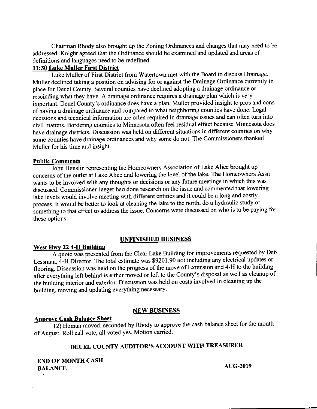Chairman Rhody also brought up the Zoning Ordinances and changes that may need to be addressed. Knight agreed that the Ordinance should be examined and updated and areas of definitions and languages need to be redefined.

# 11:30 Luke Muller First District

Luke Muller of First District from Watertown met with the Board to discuss Drainage. Muller declined taking a position on advising for or against the Drainage Ordinance currently in place for Deuel County. Several counties have declined adopting a drainage ordinance or rescinding what they have. A drainage ordinance requires a drainage plan which is very important. Deuel County's ordinance does have a plan. Muller provided insight to pros and cons ofhaving a drainage ordinance and compared to what neighboring counties have done. Legal decisions and technical information are often required in drainage issues and can often tum into civil matters. Bordering counties to Minnesota often feel residual effect because Minnesota does have drainage districts. Discussion was held on different situations in different counties on why some counties have drainage ordinances and why some do not. The Commissioners thanked Muller for his time and insight.

#### Public Comments

John Henslin representing the Homeowners Association of Lake Alice brought up concems of the outlet at Lake Alice and lowering the level of the lake. The Homeowners Assn wants to be involved with any thoughts or decisions or any future meetings in which this was discussed. Commissioner Jaeger had done research on the issue and commented that lowering lake levels would involve meeting with different entities and it could be a long and costly process. It would be better to look at cleaning the lake to the north, do a hydraulic study or something to that effect to address the issue. Concems were discussed on who is to be paying for these options.

# UNFINISHED BUSINESS

### West Hwy 22 4-H Building

A quote was presented from the clear Lake Building for improvements requested by Deb Lessman, 4-H Director. The total estimate was \$9201.90 not including any electrical updates or flooring. Discussion was held on the progress of the move of Extension and 4-H to the building after everything left behind is either moved or left to the County's disposal as well as cleanup of the building interior and exterior. Discussion was held on costs involved in cleaning up the building, moving and updating everything necessary.

### NEW BUSINESS

# **Approve Cash Balance Sheet**

12) Homan moved, seconded by Rhody to approve the cash balance sheet for the month of August. Roll call vote, all voted yes. Motion carried.

# DEUEL COUNTY AUDITOR'S ACCOUNT WITH TREASURER

END OF MONTH CASH BALANCE AUG-2019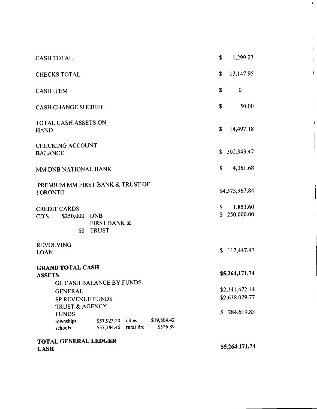| <b>CASH TOTAL</b>                                                                                        | \$<br>1,299.23                     |
|----------------------------------------------------------------------------------------------------------|------------------------------------|
| <b>CHECKS TOTAL</b>                                                                                      | \$<br>13,147.95                    |
| <b>CASH ITEM</b>                                                                                         | \$<br>$\bf{0}$                     |
| <b>CASH CHANGE SHERIFF</b>                                                                               | \$<br>50.00                        |
| <b>TOTAL CASH ASSETS ON</b><br><b>HAND</b>                                                               | \$<br>14.497.18                    |
| <b>CHECKING ACCOUNT</b><br><b>BALANCE</b>                                                                | 302,343.47<br>S.                   |
| MM DNB NATIONAL BANK                                                                                     | \$<br>4,061.68                     |
| PREMIUM MM FIRST BANK & TRUST OF<br><b>TORONTO</b>                                                       | \$4,573,967.84                     |
| <b>CREDIT CARDS</b><br>\$250,000<br><b>DNB</b><br>CD'S<br><b>FIRST BANK &amp;</b><br>\$0<br><b>TRUST</b> | 1,853.60<br>\$<br>250,000.00<br>\$ |
| <b>REVOLVING</b><br><b>LOAN</b>                                                                          | 117,447.97<br>S.                   |
| <b>GRAND TOTAL CASH</b><br><b>ASSETS</b><br><b>GL CASH BALANCE BY FUNDS:</b>                             | \$5,264,171.74                     |
| <b>GENERAL</b>                                                                                           | \$2,341,472.14                     |
| <b>SP REVENUE FUNDS</b>                                                                                  | \$2,638,079.77                     |
| <b>TRUST &amp; AGENCY</b><br><b>FUNDS</b>                                                                | 284,619.83<br>\$                   |
| \$19,804.42<br>cities<br>\$57,923.20<br>townships<br>\$526.89<br>rural fire<br>\$37,384.46<br>schools    |                                    |
| TOTAL GENERAL LEDGER<br><b>CASH</b>                                                                      | \$5,264.171.74                     |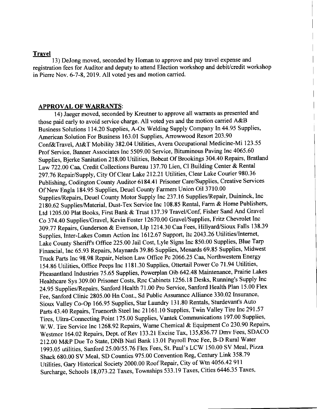#### Travel

13) DeJong moved, seconded by Homan to approve and pay travel expense and registration fees for Auditor and deputy to attend Election workshop and debit/credit workshop in Pierre Nov. 6-7-8,2019. All voted yes and motion carried.

#### **APPROVAL OF WARRANTS:**

14) Jaeger moved, seconded by Kreutner to approve all warrants as presented and those paid early to avoid service charge. All voted yes and the motion carried A&B Business Solutions 1 14.20 Supplies, A-Ox Welding Supply Company ln 44.95 Supplies, American Solution For Business 163.01 Supplies, Arrowwood Resort 203.90 Conf&Travel, At&T Mobility 382.04 Utilities, Avera Occupational Medicine-Mi 123.55 Prof Service, Banner Associates Inc 5509.00 Service, Bituminous Paving Inc 4065.60 Supplies, Bjerke Sanitation 218.00 Utilities, Bobcat Of Brookings 304.40 Repairs, Bratland Law 722.00 Caa, Credit Collections Bureau 137.70 Lien, Cl Building Center & Rental 297.76 Repair/Supply, City Of Clear Lake 212.21 Utilities, Clear Lake Courier 980.36 Publishing, codington county Auditor 6184.41 Prisoner Care/Supplies, creative services Of New Engla 184.95 Supplies, Deuel County Farmers Union Oil 3710.00 Supplies/Repairs, Deuel county Motor supply Inc 237.16 Supplies,/Repair, Duininck, Inc 2180.62 Supplies/Material, Dust-Tex Service Inc 108.85 Rental, Farm & Home Publishers, Ltd 1205.00 Plat Books, First Bank & Trust 137.39 Travel/Conf, Fisher Sand And Gravel Co 374.40 Supplies/Gravel, Kevin Foster 12670.00 Gravel/Supplies, Fritz Chevrolet lnc 309.77 Repairs, Gunderson & Evenson, Llp 1214.30 Caa Fees, Hillyard/Sioux Falls 138.39 supplies, Inter-Lakes comm Action Inc 1612.67 Support, Itc 2043.26 Utilities/lntemet, Lake county sheriffs offrce 225.00 Jail cost, Lyle signs Inc 850.00 Supplies, Blue Tarp Financial, Inc 65.93 Repairs, Maynards 39.86 Supplies, Menards 69.85 Supplies, Midwest Truck Parts Inc 98.98 Repair, Nelson Law offrce Pc 2066.25 Caa, Northwestern Energy 154.86 Utilities, Office Peeps Inc 1181.30 Supplies, Ottertail Power Co 71.94 Utilities, Pheasantland Industries 75.65 Supplies, Powerplan Oib 642.48 Maintenance, Prairie Lakes Healthcare Sys 309.00 Prisoner costs, Rnc cabinets 1256.18 Desks, Running's Supply Inc 24.95 Supplies/Repairs, Sanford Health 71.00 Pro Service, Sanford Health Plan 15.00 Flex Fee, Sanford Clinic 2805.00 Hn Cont., Sd Public Assurance Alliance 330.02 Insurance, Sioux valley co-op 166.95 Supplies, star Laundry 131.80 Rentals, sturdevant's Auto parts 43.40 Repairs, Truenorth Steel Inc 21161.10 Supplies, Twin Valley Tire Inc 291.57 Tires, Ultra-Connecting Point 175.00 Supplies, Vantek Communications 197.00 Supplies, w.w. Tire service Inc 1268.92 Repairs, wame chemical & Equipment co 230.90 Repairs, westmor 164.02 Repairs, Dept. of Rev 133.21 Excise Tax,135,836.77 Dmv Fees, SDACO 212.00 M&P Due To State, DNB Natl Bank 13.01 Payroll Proc Fee, B-D Rural water 1993.05 utilities, Sanford 25.00/55.76 Flex Fees, St. Paul's LCW 150.00 SV Meal, Pizza Shack 680.00 SV Meal, SD Counties 975.00 Convention Reg, Century Link 358.79 Utilities, Gary Historical Society 2000.00 Roof Repair, City of Wtn 4056.42 911 Surcharge, Schools 18,073.22 Taxes, Townships 533.19 Taxes, Cities 6446.35 Taxes,